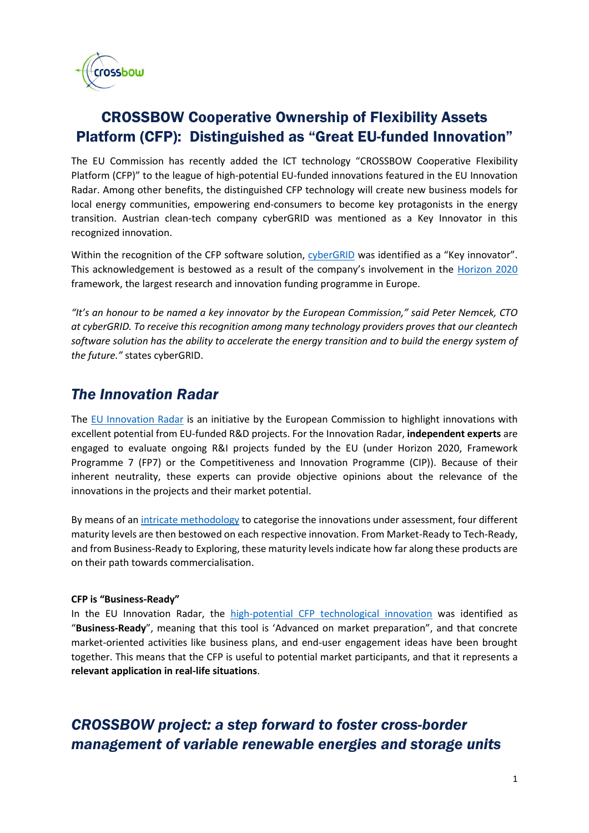

# CROSSBOW Cooperative Ownership of Flexibility Assets Platform (CFP): Distinguished as "Great EU-funded Innovation"

The EU Commission has recently added the ICT technology "CROSSBOW Cooperative Flexibility Platform (CFP)" to the league of high-potential EU-funded innovations featured in the EU Innovation Radar. Among other benefits, the distinguished CFP technology will create new business models for local energy communities, empowering end-consumers to become key protagonists in the energy transition. Austrian clean-tech company cyberGRID was mentioned as a Key Innovator in this recognized innovation.

Within the recognition of the CFP software solution, [cyberGRID](https://www.cyber-grid.com/) was identified as a "Key innovator". This acknowledgement is bestowed as a result of the company's involvement in the [Horizon 2020](https://ec.europa.eu/programmes/horizon2020/en/what-horizon-2020) framework, the largest research and innovation funding programme in Europe.

*"It's an honour to be named a key innovator by the European Commission," said Peter Nemcek, CTO at cyberGRID. To receive this recognition among many technology providers proves that our cleantech software solution has the ability to accelerate the energy transition and to build the energy system of the future."* states cyberGRID.

## *The Innovation Radar*

The [EU Innovation Radar](https://www.innoradar.eu/) is an initiative by the European Commission to highlight innovations with excellent potential from EU-funded R&D projects. For the Innovation Radar, **independent experts** are engaged to evaluate ongoing R&I projects funded by the EU (under Horizon 2020, Framework Programme 7 (FP7) or the Competitiveness and Innovation Programme (CIP)). Because of their inherent neutrality, these experts can provide objective opinions about the relevance of the innovations in the projects and their market potential.

By means of a[n intricate methodology](https://www.innoradar.eu/methodology) to categorise the innovations under assessment, four different maturity levels are then bestowed on each respective innovation. From Market-Ready to Tech-Ready, and from Business-Ready to Exploring, these maturity levels indicate how far along these products are on their path towards commercialisation.

#### **CFP is "Business-Ready"**

In the EU Innovation Radar, the [high-potential CFP technological innovation](https://www.innoradar.eu/innovation/33855) was identified as "**Business-Ready**", meaning that this tool is 'Advanced on market preparation", and that concrete market-oriented activities like business plans, and end-user engagement ideas have been brought together. This means that the CFP is useful to potential market participants, and that it represents a **relevant application in real-life situations**.

## *CROSSBOW project: a step forward to foster cross-border management of variable renewable energies and storage units*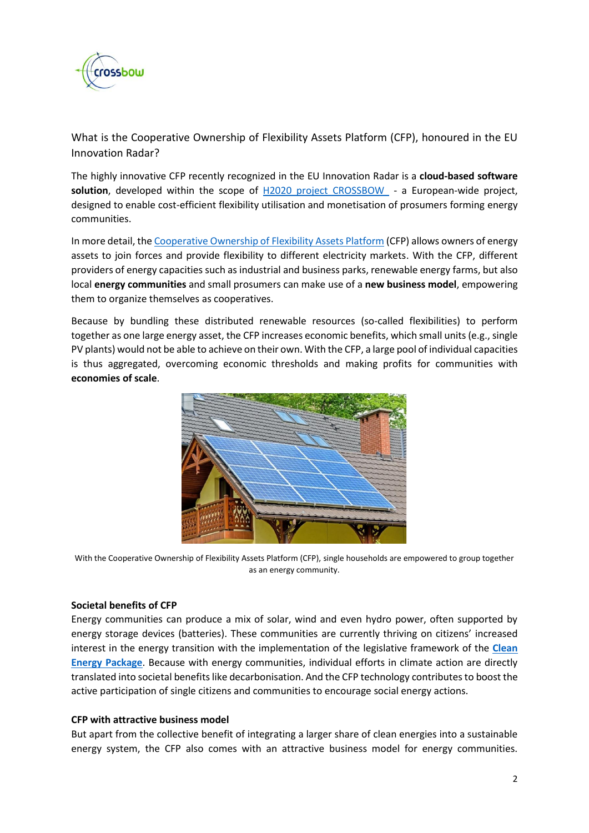

What is the Cooperative Ownership of Flexibility Assets Platform (CFP), honoured in the EU Innovation Radar?

The highly innovative CFP recently recognized in the EU Innovation Radar is a **cloud-based software solution**, developed within the scope of [H2020 project CROSSBOW](http://crossbowproject.eu/) - a European-wide project, designed to enable cost-efficient flexibility utilisation and monetisation of prosumers forming energy communities.

In more detail, the [Cooperative](https://www.cyber-grid.com/cooperative-flexibility-platform/) Ownership of Flexibility Assets Platform (CFP) allows owners of energy assets to join forces and provide flexibility to different electricity markets. With the CFP, different providers of energy capacities such as industrial and business parks, renewable energy farms, but also local **energy communities** and small prosumers can make use of a **new business model**, empowering them to organize themselves as cooperatives.

Because by bundling these distributed renewable resources (so-called flexibilities) to perform together as one large energy asset, the CFP increases economic benefits, which small units (e.g., single PV plants) would not be able to achieve on their own. With the CFP, a large pool of individual capacities is thus aggregated, overcoming economic thresholds and making profits for communities with **economies of scale**.



With the Cooperative Ownership of Flexibility Assets Platform (CFP), single households are empowered to group together as an energy community.

#### **Societal benefits of CFP**

Energy communities can produce a mix of solar, wind and even hydro power, often supported by energy storage devices (batteries). These communities are currently thriving on citizens' increased interest in the energy transition with the implementation of the legislative framework of the **[Clean](https://ec.europa.eu/energy/topics/energy-strategy/clean-energy-all-europeans_en)  [Energy Package](https://ec.europa.eu/energy/topics/energy-strategy/clean-energy-all-europeans_en)**. Because with energy communities, individual efforts in climate action are directly translated into societal benefits like decarbonisation. And the CFP technology contributes to boost the active participation of single citizens and communities to encourage social energy actions.

#### **CFP with attractive business model**

But apart from the collective benefit of integrating a larger share of clean energies into a sustainable energy system, the CFP also comes with an attractive business model for energy communities.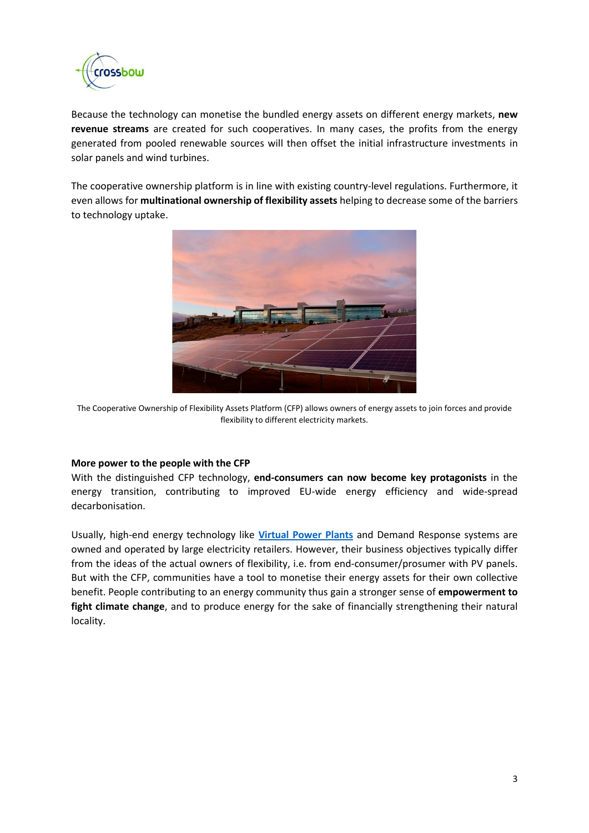

Because the technology can monetise the bundled energy assets on different energy markets, **new revenue streams** are created for such cooperatives. In many cases, the profits from the energy generated from pooled renewable sources will then offset the initial infrastructure investments in solar panels and wind turbines.

The cooperative ownership platform is in line with existing country-level regulations. Furthermore, it even allows for **multinational ownership of flexibility assets** helping to decrease some of the barriers to technology uptake.



The Cooperative Ownership of Flexibility Assets Platform (CFP) allows owners of energy assets to join forces and provide flexibility to different electricity markets.

#### **More power to the people with the CFP**

With the distinguished CFP technology, **end-consumers can now become key protagonists** in the energy transition, contributing to improved EU-wide energy efficiency and wide-spread decarbonisation.

Usually, high-end energy technology like **[Virtual Power Plants](https://www.cyber-grid.com/virtual-power-plant-vpp-grid-stability-and-revenues/)** and Demand Response systems are owned and operated by large electricity retailers. However, their business objectives typically differ from the ideas of the actual owners of flexibility, i.e. from end-consumer/prosumer with PV panels. But with the CFP, communities have a tool to monetise their energy assets for their own collective benefit. People contributing to an energy community thus gain a stronger sense of **empowerment to fight climate change**, and to produce energy for the sake of financially strengthening their natural locality.